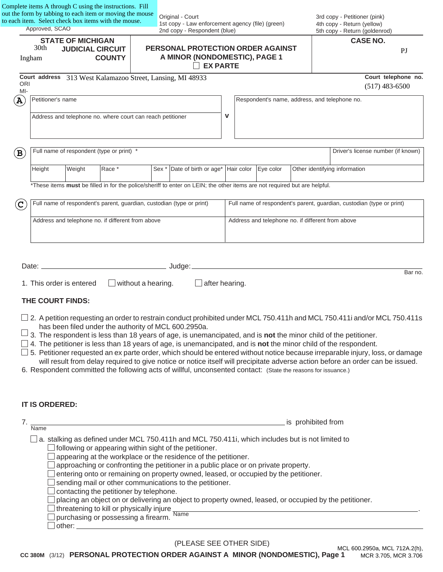| out the form by tabbing to each item or moving the mouse<br>to each item. Select check box items with the mouse.<br>Approved, SCAO |                   |                                                                                       |                              |                           | 1st copy - Law enforcement agency (file) (green)                                                                                                                                                                                                                                                                                                                                                                          |                |                                                   |                    |  | 3rd copy - Petitioner (pink)<br>4th copy - Return (yellow)                                                                                                                                                                                                                                                                                                                                         |
|------------------------------------------------------------------------------------------------------------------------------------|-------------------|---------------------------------------------------------------------------------------|------------------------------|---------------------------|---------------------------------------------------------------------------------------------------------------------------------------------------------------------------------------------------------------------------------------------------------------------------------------------------------------------------------------------------------------------------------------------------------------------------|----------------|---------------------------------------------------|--------------------|--|----------------------------------------------------------------------------------------------------------------------------------------------------------------------------------------------------------------------------------------------------------------------------------------------------------------------------------------------------------------------------------------------------|
|                                                                                                                                    |                   |                                                                                       | 2nd copy - Respondent (blue) |                           |                                                                                                                                                                                                                                                                                                                                                                                                                           |                | 5th copy - Return (goldenrod)<br><b>CASE NO.</b>  |                    |  |                                                                                                                                                                                                                                                                                                                                                                                                    |
| <b>STATE OF MICHIGAN</b><br>30th<br><b>JUDICIAL CIRCUIT</b><br><b>COUNTY</b><br>Ingham                                             |                   | PERSONAL PROTECTION ORDER AGAINST<br>A MINOR (NONDOMESTIC), PAGE 1<br><b>EX PARTE</b> |                              |                           |                                                                                                                                                                                                                                                                                                                                                                                                                           | P <sub>J</sub> |                                                   |                    |  |                                                                                                                                                                                                                                                                                                                                                                                                    |
| <b>ORI</b>                                                                                                                         |                   |                                                                                       |                              |                           | Court address 313 West Kalamazoo Street, Lansing, MI 48933                                                                                                                                                                                                                                                                                                                                                                |                |                                                   |                    |  | Court telephone no.                                                                                                                                                                                                                                                                                                                                                                                |
| $MI -$                                                                                                                             |                   |                                                                                       |                              |                           |                                                                                                                                                                                                                                                                                                                                                                                                                           |                |                                                   |                    |  | $(517)$ 483-6500                                                                                                                                                                                                                                                                                                                                                                                   |
| $\bf A$                                                                                                                            | Petitioner's name |                                                                                       |                              |                           |                                                                                                                                                                                                                                                                                                                                                                                                                           |                | Respondent's name, address, and telephone no.     |                    |  |                                                                                                                                                                                                                                                                                                                                                                                                    |
|                                                                                                                                    |                   | Address and telephone no. where court can reach petitioner                            |                              |                           |                                                                                                                                                                                                                                                                                                                                                                                                                           | $\mathbf v$    |                                                   |                    |  |                                                                                                                                                                                                                                                                                                                                                                                                    |
| $\left( \mathbf{B}\right)$                                                                                                         |                   | Full name of respondent (type or print) *                                             |                              |                           |                                                                                                                                                                                                                                                                                                                                                                                                                           |                |                                                   |                    |  | Driver's license number (if known)                                                                                                                                                                                                                                                                                                                                                                 |
|                                                                                                                                    | Height            | Weight                                                                                | Race *                       |                           | Sex $*$ Date of birth or age * Hair color Eye color                                                                                                                                                                                                                                                                                                                                                                       |                |                                                   |                    |  | Other identifying information                                                                                                                                                                                                                                                                                                                                                                      |
|                                                                                                                                    |                   |                                                                                       |                              |                           | *These items must be filled in for the police/sheriff to enter on LEIN; the other items are not required but are helpful.                                                                                                                                                                                                                                                                                                 |                |                                                   |                    |  |                                                                                                                                                                                                                                                                                                                                                                                                    |
| $\overline{C}$                                                                                                                     |                   |                                                                                       |                              |                           | Full name of respondent's parent, guardian, custodian (type or print)                                                                                                                                                                                                                                                                                                                                                     |                |                                                   |                    |  | Full name of respondent's parent, guardian, custodian (type or print)                                                                                                                                                                                                                                                                                                                              |
|                                                                                                                                    |                   |                                                                                       |                              |                           |                                                                                                                                                                                                                                                                                                                                                                                                                           |                |                                                   |                    |  |                                                                                                                                                                                                                                                                                                                                                                                                    |
|                                                                                                                                    |                   | Address and telephone no. if different from above                                     |                              |                           |                                                                                                                                                                                                                                                                                                                                                                                                                           |                | Address and telephone no. if different from above |                    |  |                                                                                                                                                                                                                                                                                                                                                                                                    |
|                                                                                                                                    |                   | 1. This order is entered                                                              |                              | $\Box$ without a hearing. | $\Box$ after hearing.                                                                                                                                                                                                                                                                                                                                                                                                     |                |                                                   |                    |  | Bar no.                                                                                                                                                                                                                                                                                                                                                                                            |
|                                                                                                                                    |                   | THE COURT FINDS:                                                                      |                              |                           |                                                                                                                                                                                                                                                                                                                                                                                                                           |                |                                                   |                    |  |                                                                                                                                                                                                                                                                                                                                                                                                    |
|                                                                                                                                    | IT IS ORDERED:    |                                                                                       |                              |                           | has been filed under the authority of MCL 600.2950a.<br>3. The respondent is less than 18 years of age, is unemancipated, and is not the minor child of the petitioner.<br>$\Box$ 4. The petitioner is less than 18 years of age, is unemancipated, and is <b>not</b> the minor child of the respondent.<br>6. Respondent committed the following acts of willful, unconsented contact: (State the reasons for issuance.) |                |                                                   |                    |  | $\Box$ 2. A petition requesting an order to restrain conduct prohibited under MCL 750.411h and MCL 750.411i and/or MCL 750.411s<br>5. Petitioner requested an ex parte order, which should be entered without notice because irreparable injury, loss, or damage<br>will result from delay required to give notice or notice itself will precipitate adverse action before an order can be issued. |
| 7.                                                                                                                                 | Name              |                                                                                       |                              |                           |                                                                                                                                                                                                                                                                                                                                                                                                                           |                |                                                   | is prohibited from |  |                                                                                                                                                                                                                                                                                                                                                                                                    |

(PLEASE SEE OTHER SIDE)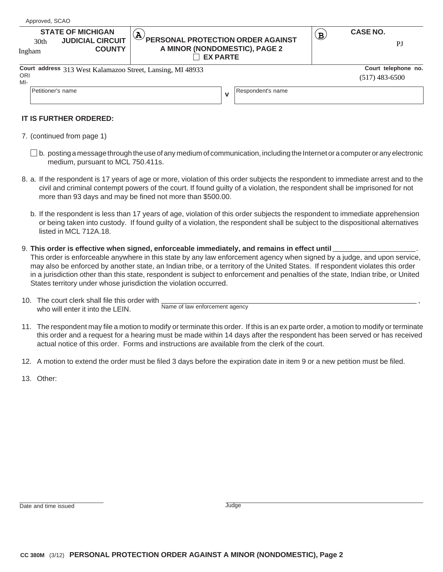| <b>STATE OF MICHIGAN</b><br><b>JUDICIAL CIRCUIT</b><br>30 <sub>th</sub><br><b>COUNTY</b><br>Ingham |                                                            | $\widehat{\mathbf{Y}}$<br>PERSONAL PROTECTION ORDER AGAINST<br>A MINOR (NONDOMESTIC), PAGE 2<br><b>EX PARTE</b> |  | $\mathbf{B}$ | <b>CASE NO.</b><br>PJ                   |
|----------------------------------------------------------------------------------------------------|------------------------------------------------------------|-----------------------------------------------------------------------------------------------------------------|--|--------------|-----------------------------------------|
|                                                                                                    | Court address 313 West Kalamazoo Street, Lansing, MI 48933 |                                                                                                                 |  |              | Court telephone no.<br>$(517)$ 483-6500 |
| ORI<br>MI-                                                                                         |                                                            |                                                                                                                 |  |              |                                         |

### **IT IS FURTHER ORDERED:**

- 7. (continued from page 1)
	- $\square$  b. posting a message through the use of any medium of communication, including the Internet or a computer or any electronic medium, pursuant to MCL 750.411s.
- 8. a. If the respondent is 17 years of age or more, violation of this order subjects the respondent to immediate arrest and to the civil and criminal contempt powers of the court. If found guilty of a violation, the respondent shall be imprisoned for not more than 93 days and may be fined not more than \$500.00.
	- b. If the respondent is less than 17 years of age, violation of this order subjects the respondent to immediate apprehension or being taken into custody. If found guilty of a violation, the respondent shall be subject to the dispositional alternatives listed in MCL 712A.18.
- 9. **This order is effective when signed, enforceable immediately, and remains in effect until** . This order is enforceable anywhere in this state by any law enforcement agency when signed by a judge, and upon service, may also be enforced by another state, an Indian tribe, or a territory of the United States. If respondent violates this order in a jurisdiction other than this state, respondent is subject to enforcement and penalties of the state, Indian tribe, or United States territory under whose jurisdiction the violation occurred.
- 10. The court clerk shall file this order with , who will enter it into the LEIN. Name of law enforcement agency
- 11. The respondent may file a motion to modify or terminate this order. If this is an ex parte order, a motion to modify or terminate this order and a request for a hearing must be made within 14 days after the respondent has been served or has received actual notice of this order. Forms and instructions are available from the clerk of the court.
- 12. A motion to extend the order must be filed 3 days before the expiration date in item 9 or a new petition must be filed.
- 13. Other: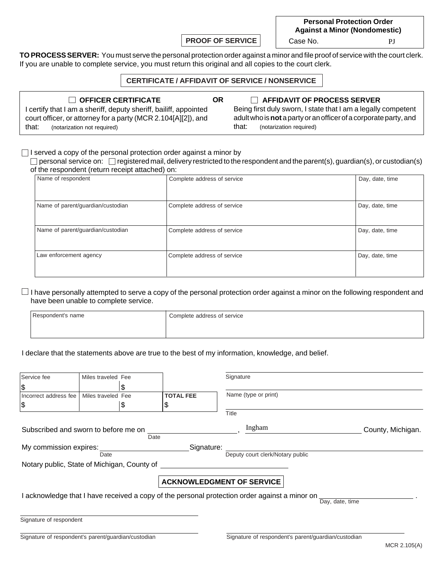**PROOF OF SERVICE** | Case No.

**Personal Protection Order Against a Minor (Nondomestic)** PJ

**TO PROCESS SERVER:** You must serve the personal protection order against a minor and file proof of service with the court clerk. If you are unable to complete service, you must return this original and all copies to the court clerk.

### **CERTIFICATE / AFFIDAVIT OF SERVICE / NONSERVICE**

**OR**

**OFFICER CERTIFICATE AFFIDAVIT OF PROCESS SERVER** I certify that I am a sheriff, deputy sheriff, bailiff, appointed court officer, or attorney for a party (MCR 2.104[A][2]), and that: (notarization not required)

Being first duly sworn, I state that I am a legally competent adult who is **not** a party or an officer of a corporate party, and that: (notarization required)

 $\Box$  I served a copy of the personal protection order against a minor by

 $\Box$  personal service on:  $\Box$  registered mail, delivery restricted to the respondent and the parent(s), guardian(s), or custodian(s) of the respondent (return receipt attached) on:

| Name of respondent                | Complete address of service | Day, date, time |
|-----------------------------------|-----------------------------|-----------------|
|                                   |                             |                 |
| Name of parent/guardian/custodian | Complete address of service | Day, date, time |
| Name of parent/guardian/custodian | Complete address of service | Day, date, time |
| Law enforcement agency            | Complete address of service | Day, date, time |
|                                   |                             |                 |

 $\Box$  I have personally attempted to serve a copy of the personal protection order against a minor on the following respondent and have been unable to complete service.

| Respondent's name | Complete address of service |
|-------------------|-----------------------------|
|                   |                             |

I declare that the statements above are true to the best of my information, knowledge, and belief.

| Service fee                                         | Miles traveled Fee |      |                                  | Signature                                                                                     |                   |
|-----------------------------------------------------|--------------------|------|----------------------------------|-----------------------------------------------------------------------------------------------|-------------------|
| \$                                                  |                    |      |                                  |                                                                                               |                   |
| Incorrect address fee                               | Miles traveled Fee |      | <b>TOTAL FEE</b>                 | Name (type or print)                                                                          |                   |
| \$                                                  |                    | \$   | \$                               |                                                                                               |                   |
|                                                     |                    |      |                                  | Title                                                                                         |                   |
| Subscribed and sworn to before me on                |                    |      |                                  | Ingham                                                                                        | County, Michigan. |
|                                                     |                    | Date |                                  |                                                                                               |                   |
| My commission expires:                              |                    |      | Signature:                       |                                                                                               |                   |
|                                                     | Date               |      |                                  | Deputy court clerk/Notary public                                                              |                   |
| Notary public, State of Michigan, County of         |                    |      |                                  |                                                                                               |                   |
|                                                     |                    |      |                                  |                                                                                               |                   |
|                                                     |                    |      | <b>ACKNOWLEDGMENT OF SERVICE</b> |                                                                                               |                   |
|                                                     |                    |      |                                  | I acknowledge that I have received a copy of the personal protection order against a minor on |                   |
|                                                     |                    |      |                                  |                                                                                               | Day, date, time   |
| Signature of respondent                             |                    |      |                                  |                                                                                               |                   |
|                                                     |                    |      |                                  |                                                                                               |                   |
| Signature of respondent's parent/guardian/custodian |                    |      |                                  | Signature of respondent's parent/guardian/custodian                                           |                   |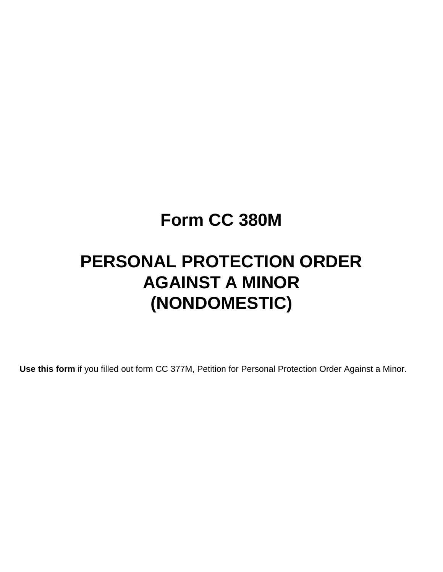## **Form CC 380M**

# **PERSONAL PROTECTION ORDER AGAINST A MINOR (NONDOMESTIC)**

**Use this form** if you filled out form CC 377M, Petition for Personal Protection Order Against a Minor.